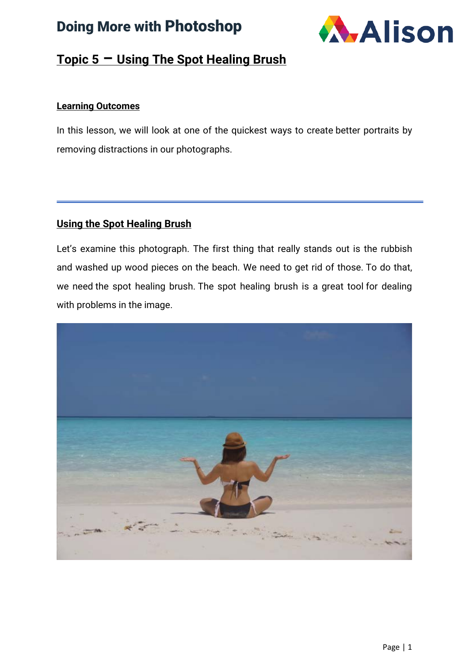



#### **Topic 5 – Using The Spot Healing Brush**

#### **Learning Outcomes**

In this lesson, we will look at one of the quickest ways to create better portraits by removing distractions in our photographs.

#### **Using the Spot Healing Brush**

Let's examine this photograph. The first thing that really stands out is the rubbish and washed up wood pieces on the beach. We need to get rid of those. To do that, we need the spot healing brush. The spot healing brush is a great tool for dealing with problems in the image.

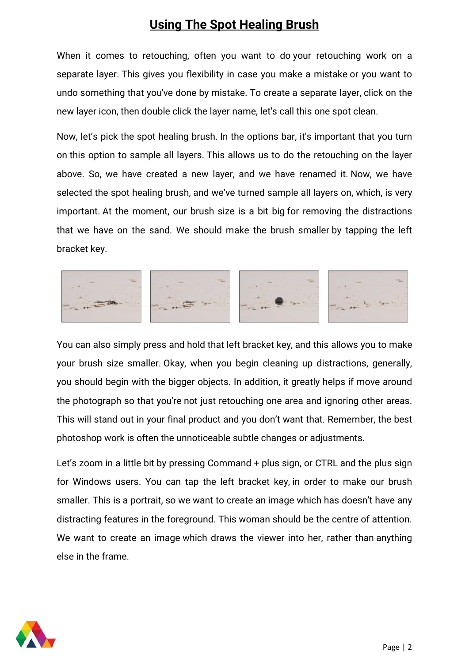When it comes to retouching, often you want to do your retouching work on a separate layer. This gives you flexibility in case you make a mistake or you want to undo something that you've done by mistake. To create a separate layer, click on the new layer icon, then double click the layer name, let's call this one spot clean.

Now, let's pick the spot healing brush. In the options bar, it's important that you turn on this option to sample all layers. This allows us to do the retouching on the layer above. So, we have created a new layer, and we have renamed it. Now, we have selected the spot healing brush, and we've turned sample all layers on, which, is very important. At the moment, our brush size is a bit big for removing the distractions that we have on the sand. We should make the brush smaller by tapping the left bracket key.



You can also simply press and hold that left bracket key, and this allows you to make your brush size smaller. Okay, when you begin cleaning up distractions, generally, you should begin with the bigger objects. In addition, it greatly helps if move around the photograph so that you're not just retouching one area and ignoring other areas. This will stand out in your final product and you don't want that. Remember, the best photoshop work is often the unnoticeable subtle changes or adjustments.

Let's zoom in a little bit by pressing Command + plus sign, or CTRL and the plus sign for Windows users. You can tap the left bracket key, in order to make our brush smaller. This is a portrait, so we want to create an image which has doesn't have any distracting features in the foreground. This woman should be the centre of attention. We want to create an image which draws the viewer into her, rather than anything else in the frame.

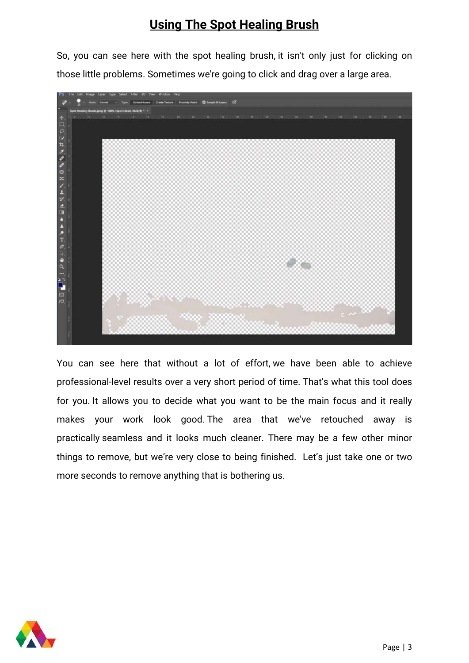So, you can see here with the spot healing brush, it isn't only just for clicking on those little problems. Sometimes we're going to click and drag over a large area.



You can see here that without a lot of effort, we have been able to achieve professional-level results over a very short period of time. That's what this tool does for you. It allows you to decide what you want to be the main focus and it really makes your work look good. The area that we've retouched away is practically seamless and it looks much cleaner. There may be a few other minor things to remove, but we're very close to being finished. Let's just take one or two more seconds to remove anything that is bothering us.

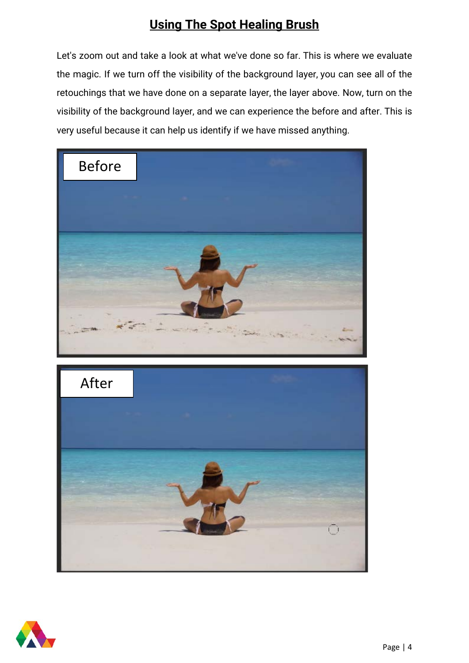Let's zoom out and take a look at what we've done so far. This is where we evaluate the magic. If we turn off the visibility of the background layer, you can see all of the retouchings that we have done on a separate layer, the layer above. Now, turn on the visibility of the background layer, and we can experience the before and after. This is very useful because it can help us identify if we have missed anything.